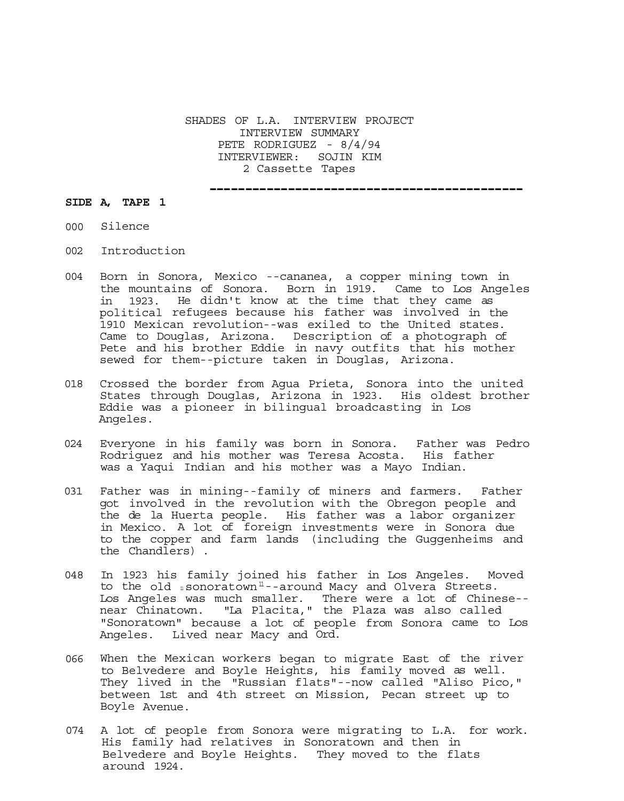SHADES OF L.A. INTERVIEW PROJECT INTERVIEW SUMMARY PETE RODRIGUEZ - 8/4/94 INTERVIEWER: SOJIN KIM 2 Cassette Tapes

--------------------------------------------

## **SIDE A, TAPE 1**

- 000 Silence
- 002 Introduction
- 004 Born in Sonora, Mexico --cananea, a copper mining town in the mountains of Sonora. Born in 1919. Came to Los Angeles<br>in 1923. He didn't know at the time that they came as 1923. He didn't know at the time that they came as political refugees because his father was involved in the 1910 Mexican revolution--was exiled to the United states. Came to Douglas, Arizona. Description of a photograph of Pete and his brother Eddie in navy outfits that his mother sewed for them--picture taken in Douglas, Arizona.
- 018 Crossed the border from Agua Prieta, Sonora into the united States through Douglas, Arizona in 1923. His oldest brother Eddie was a pioneer in bilingual broadcasting in Los Angeles.
- 024 Everyone in his family was born in Sonora. Father was Pedro Rodriguez and his mother was Teresa Acosta. His father was a Yaqui Indian and his mother was a Mayo Indian.
- 031 Father was in mining--family of miners and farmers. Father got involved in the revolution with the Obregon people and the de la Huerta people. His father was a labor organizer in Mexico. A lot of foreign investments were in Sonora due to the copper and farm lands (including the Guggenheims and the Chandlers) .
- 048 In 1923 his family joined his father in Los Angeles. Moved to the old *i*sonoratown<sup>11</sup>--around Macy and Olvera Streets. Los Angeles was much smaller. There were a lot of Chinese- near Chinatown. "La Placita," the Plaza was also called "Sonoratown" because a lot of people from Sonora came to Los Angeles. Lived near Macy and Ord.
- 066 When the Mexican workers began to migrate East of the river to Belvedere and Boyle Heights, his family moved as well. They lived in the "Russian flats"--now called "Aliso Pico," between 1st and 4th street on Mission, Pecan street up to Boyle Avenue.
- 074 A lot of people from Sonora were migrating to L.A. for work. His family had relatives in Sonoratown and then in Belvedere and Boyle Heights. They moved to the flats around 1924.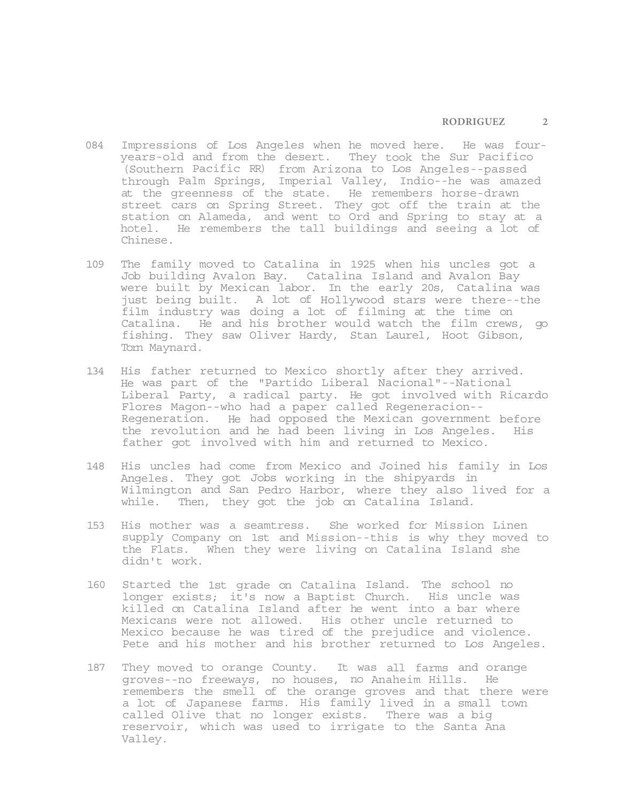- 084 Impressions of Los Angeles when he moved here. He was fouryears-old and from the desert. They took the Sur Pacifico (Southern Pacific RR) from Arizona to Los Angeles--passed through Palm Springs, Imperial Valley, Indio--he was amazed at the greenness of the state. He remembers horse-drawn street cars on Spring Street. They got off the train at the station on Alameda, and went to Ord and Spring to stay at a hotel. He remembers the tall buildings and seeing a lot of Chinese.
- 109 The family moved to Catalina in 1925 when his uncles got a Job building Avalon Bay. Catalina Island and Avalon Bay were built by Mexican labor. In the early 20s, Catalina was just being built. A lot of Hollywood stars were there--the film industry was doing a lot of filming at the time on Catalina. He and his brother would watch the film crews, go fishing. They saw Oliver Hardy, Stan Laurel, Hoot Gibson, Tom Maynard.
- 134 His father returned to Mexico shortly after they arrived. He was part of the "Partido Liberal Nacional"--National Liberal Party, a radical party. He got involved with Ricardo Flores Magon--who had a paper called Regeneracion-- Regeneration. He had opposed the Mexican government before the revolution and he had been living in Los Angeles. His father got involved with him and returned to Mexico.
- 148 His uncles had come from Mexico and Joined his family in Los Angeles. They got Jobs working in the shipyards in Wilmington and San Pedro Harbor, where they also lived for a while. Then, they got the job on Catalina Island.
- 153 His mother was a seamtress. She worked for Mission Linen supply Company on 1st and Mission--this is why they moved to the Flats. When they were living on Catalina Island she didn't work.
- 160 Started the 1st grade on Catalina Island. The school no longer exists; it's now a Baptist Church. His uncle was killed on Catalina Island after he went into a bar where Mexicans were not allowed. His other uncle returned to Mexico because he was tired of the prejudice and violence. Pete and his mother and his brother returned to Los Angeles.
- 187 They moved to orange County. It was all farms and orange groves--no freeways, no houses, no Anaheim Hills. He remembers the smell of the orange groves and that there were a lot of Japanese farms. His family lived in a small town called Olive that no longer exists. There was a big reservoir, which was used to irrigate to the Santa Ana Valley.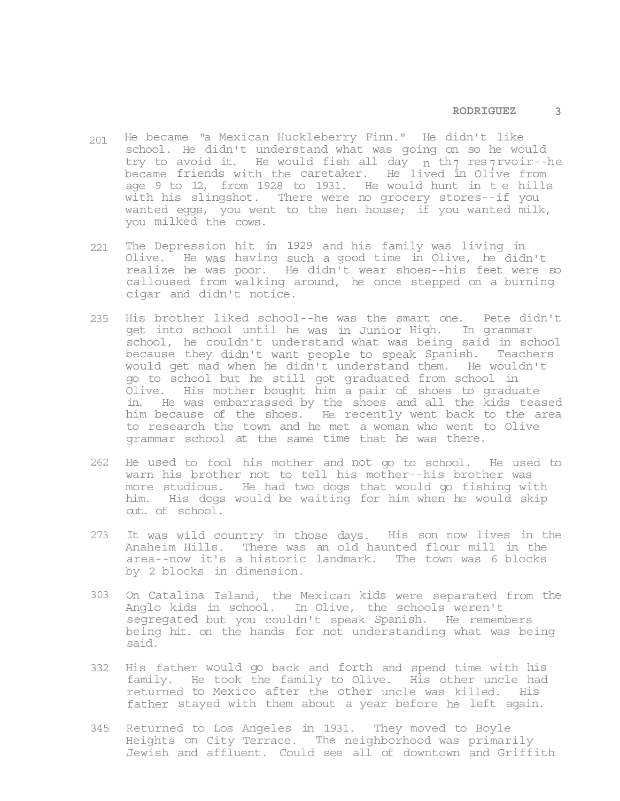- 201 He became "a Mexican Huckleberry Finn." He didn't like school. He didn't understand what was going on so he would try to avoid it. He would fish all day n th res 7 rvoir--he became friends with the caretaker. He lived in Olive from age 9 to 12, from 1928 to 1931. He would hunt in t e hills with his slingshot. There were no grocery stores--if you wanted eggs, you went to the hen house; if you wanted milk, you milked the cows.
- 221 The Depression hit in 1929 and his family was living in Olive. He was having such a good time in Olive, he didn't realize he was poor. He didn't wear shoes--his feet were so calloused from walking around, he once stepped on a burning cigar and didn't notice.
- 235 His brother liked school--he was the smart one. Pete didn't get into school until he was in Junior High. In grammar school, he couldn't understand what was being said in school because they didn't want people to speak Spanish. Teachers would get mad when he didn't understand them. He wouldn't go to school but he still got graduated from school in Olive. His mother bought him a pair of shoes to graduate in. He was embarrassed by the shoes and all the kids teased him because of the shoes. He recently went back to the area to research the town and he met a woman who went to Olive grammar school at the same time that he was there.
- 262 He used to fool his mother and not go to school. He used to warn his brother not to tell his mother--his brother was more studious. He had two dogs that would go fishing with him. His dogs would be waiting for him when he would skip out. of school.
- 273 It was wild country in those days. His son now lives in the Anaheim Hills. There was an old haunted flour mill in the area--now it's a historic landmark. The town was 6 blocks by 2 blocks in dimension.
- 303 On Catalina Island, the Mexican kids were separated from the Anglo kids in school. In Olive, the schools weren't segregated but you couldn't speak Spanish. He remembers being hit. on the hands for not understanding what was being said.
- 332 His father would go back and forth and spend time with his family. He took the family to Olive. His other uncle had returned to Mexico after the other uncle was killed. His father stayed with them about a year before he left again.
- 345 Returned to Los Angeles in 1931. They moved to Boyle Heights on City Terrace. The neighborhood was primarily Jewish and affluent. Could see all of downtown and Griffith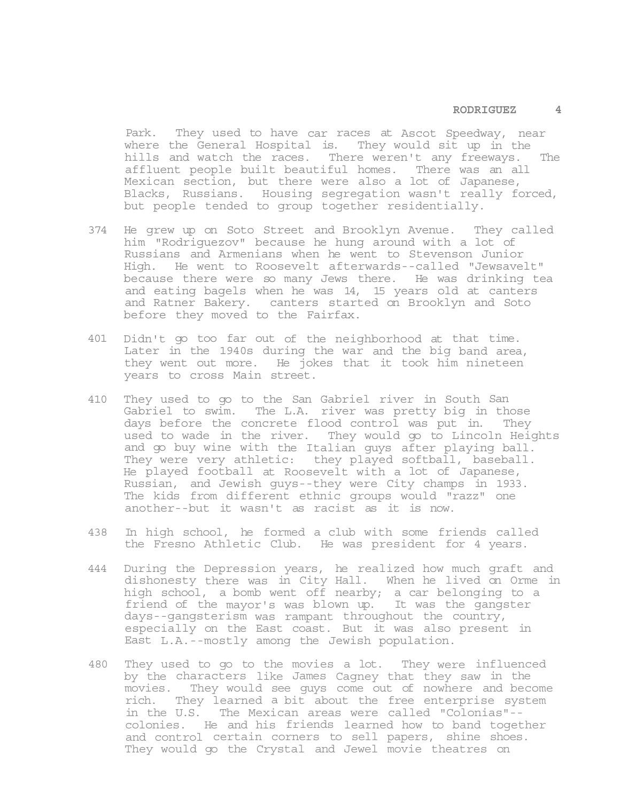Park. They used to have car races at Ascot Speedway, near where the General Hospital is. They would sit up in the hills and watch the races. There weren't any freeways. The affluent people built beautiful homes. There was an all Mexican section, but there were also a lot of Japanese, Blacks, Russians. Housing segregation wasn't really forced, but people tended to group together residentially.

- 374 He grew up on Soto Street and Brooklyn Avenue. They called him "Rodriguezov" because he hung around with a lot of Russians and Armenians when he went to Stevenson Junior High. He went to Roosevelt afterwards--called "Jewsavelt" because there were so many Jews there. He was drinking tea and eating bagels when he was 14, 15 years old at canters and Ratner Bakery. canters started on Brooklyn and Soto before they moved to the Fairfax.
- 401 Didn't go too far out of the neighborhood at that time. Later in the 1940s during the war and the big band area, they went out more. He jokes that it took him nineteen years to cross Main street.
- 410 They used to go to the San Gabriel river in South San Gabriel to swim. The L.A. river was pretty big in those days before the concrete flood control was put in. They used to wade in the river. They would go to Lincoln Heights and go buy wine with the Italian guys after playing ball. They were very athletic: they played softball, baseball. He played football at Roosevelt with a lot of Japanese, Russian, and Jewish guys--they were City champs in 1933. The kids from different ethnic groups would "razz" one another--but it wasn't as racist as it is now.
- 438 In high school, he formed a club with some friends called the Fresno Athletic Club. He was president for 4 years.
- 444 During the Depression years, he realized how much graft and dishonesty there was in City Hall. When he lived on Orme in high school, a bomb went off nearby; a car belonging to a friend of the mayor's was blown up. It was the gangster days--gangsterism was rampant throughout the country, especially on the East coast. But it was also present in East L.A.--mostly among the Jewish population.
- 480 They used to go to the movies a lot. They were influenced by the characters like James Cagney that they saw in the movies. They would see guys come out of nowhere and become rich. They learned a bit about the free enterprise system in the U.S. The Mexican areas were called "Colonias"- colonies. He and his friends learned how to band together and control certain corners to sell papers, shine shoes. They would go the Crystal and Jewel movie theatres on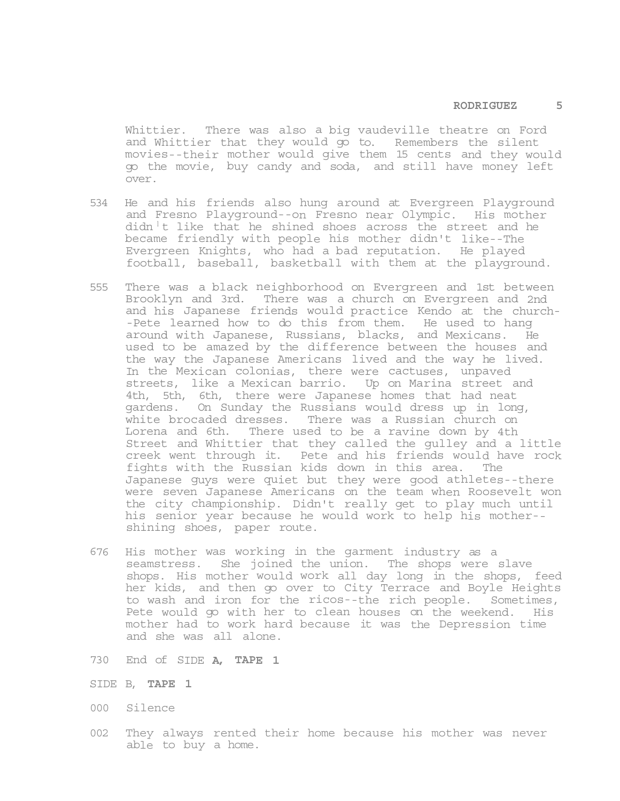Whittier. There was also a big vaudeville theatre on Ford and Whittier that they would go to. Remembers the silent movies--their mother would give them 15 cents and they would go the movie, buy candy and soda, and still have money left over.

- 534 He and his friends also hung around at Evergreen Playground and Fresno Playground--on Fresno near Olympic. His mother  $\text{d}$ idn<sup>1</sup>t like that he shined shoes across the street and he became friendly with people his mother didn't like--The Evergreen Knights, who had a bad reputation. He played football, baseball, basketball with them at the playground.
- 555 There was a black neighborhood on Evergreen and 1st between Brooklyn and 3rd. There was a church on Evergreen and 2nd and his Japanese friends would practice Kendo at the church- -Pete learned how to do this from them. He used to hang around with Japanese, Russians, blacks, and Mexicans. He used to be amazed by the difference between the houses and the way the Japanese Americans lived and the way he lived. In the Mexican colonias, there were cactuses, unpaved streets, like a Mexican barrio. Up on Marina street and 4th, 5th, 6th, there were Japanese homes that had neat gardens. On Sunday the Russians would dress up in long, white brocaded dresses. There was a Russian church on Lorena and 6th. There used to be a ravine down by 4th Street and Whittier that they called the gulley and a little creek went through it. Pete and his friends would have rock fights with the Russian kids down in this area. The Japanese guys were quiet but they were good athletes--there were seven Japanese Americans on the team when Roosevelt won the city championship. Didn't really get to play much until his senior year because he would work to help his mother- shining shoes, paper route.
- 676 His mother was working in the garment industry as a seamstress. She joined the union. The shops were slave shops. His mother would work all day long in the shops, feed her kids, and then go over to City Terrace and Boyle Heights to wash and iron for the ricos--the rich people. Sometimes, Pete would go with her to clean houses on the weekend. His mother had to work hard because it was the Depression time and she was all alone.
- 730 End of SIDE **A, TAPE 1**
- SIDE B, **TAPE 1**
- 000 Silence
- 002 They always rented their home because his mother was never able to buy a home.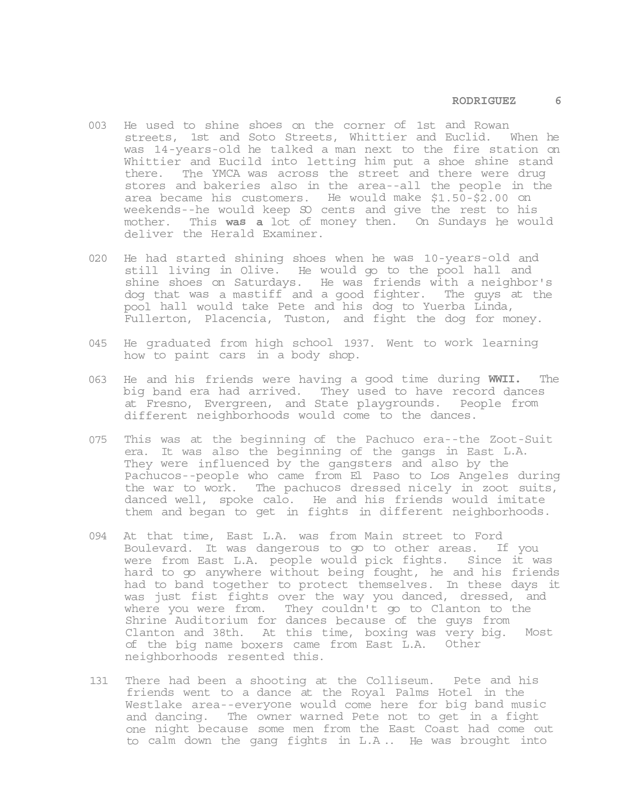- 003 He used to shine shoes on the corner of 1st and Rowan streets, 1st and Soto Streets, Whittier and Euclid. When he was 14-years-old he talked a man next to the fire station on Whittier and Eucild into letting him put a shoe shine stand there. The YMCA was across the street and there were drug stores and bakeries also in the area--all the people in the area became his customers. He would make \$1.50-\$2.00 on weekends--he would keep SO cents and give the rest to his mother. This **was a** lot of money then. On Sundays he would deliver the Herald Examiner.
- 020 He had started shining shoes when he was 10-years-old and still living in Olive. He would go to the pool hall and shine shoes on Saturdays. He was friends with a neighbor's dog that was a mastiff and a good fighter. The guys at the pool hall would take Pete and his dog to Yuerba Linda, Fullerton, Placencia, Tuston, and fight the dog for money.
- 045 He graduated from high school 1937. Went to work learning how to paint cars in a body shop.
- 063 He and his friends were having a good time during **WWII.** The big band era had arrived. They used to have record dances at Fresno, Evergreen, and State playgrounds. People from different neighborhoods would come to the dances.
- 075 This was at the beginning of the Pachuco era--the Zoot-Suit era. It was also the beginning of the gangs in East L.A. They were influenced by the gangsters and also by the Pachucos--people who came from El Paso to Los Angeles during the war to work. The pachucos dressed nicely in zoot suits, danced well, spoke calo. He and his friends would imitate them and began to get in fights in different neighborhoods.
- 094 At that time, East L.A. was from Main street to Ford Boulevard. It was dangerous to go to other areas. If you were from East L.A. people would pick fights. Since it was hard to go anywhere without being fought, he and his friends had to band together to protect themselves. In these days it was just fist fights over the way you danced, dressed, and where you were from. They couldn't go to Clanton to the Shrine Auditorium for dances because of the guys from Clanton and 38th. At this time, boxing was very big. Most of the big name boxers came from East L.A. Other neighborhoods resented this.
- 131 There had been a shooting at the Colliseum. Pete and his friends went to a dance at the Royal Palms Hotel in the Westlake area--everyone would come here for big band music and dancing. The owner warned Pete not to get in a fight one night because some men from the East Coast had come out to calm down the gang fights in L.A .. He was brought into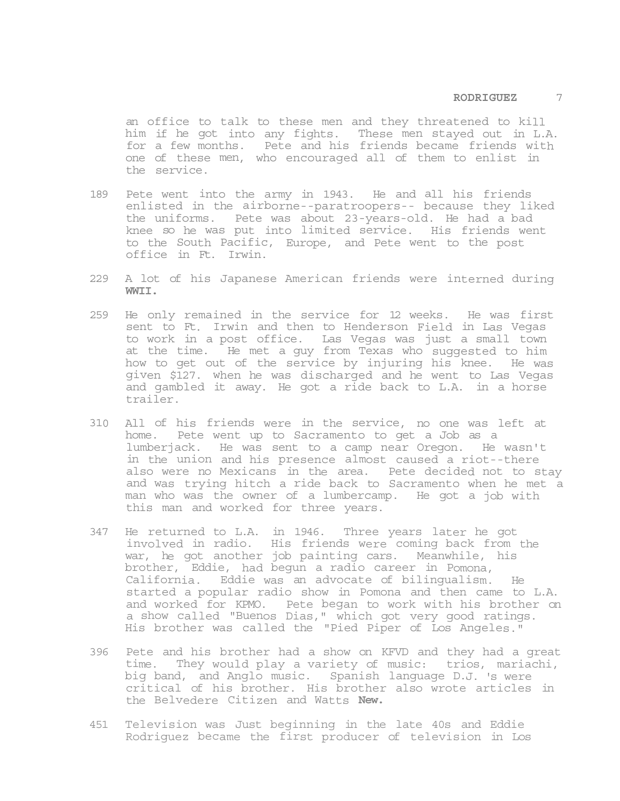an office to talk to these men and they threatened to kill him if he got into any fights. These men stayed out in L.A. for a few months. Pete and his friends became friends with one of these men, who encouraged all of them to enlist in the service.

- 189 Pete went into the army in 1943. He and all his friends enlisted in the airborne--paratroopers-- because they liked the uniforms. Pete was about 23-years-old. He had a bad knee so he was put into limited service. His friends went to the South Pacific, Europe, and Pete went to the post office in Ft. Irwin.
- 229 A lot of his Japanese American friends were interned during **WWII.**
- 259 He only remained in the service for 12 weeks. He was first sent to Ft. Irwin and then to Henderson Field in Las Vegas to work in a post office. Las Vegas was just a small town at the time. He met a guy from Texas who suggested to him how to get out of the service by injuring his knee. He was given \$127. when he was discharged and he went to Las Vegas and gambled it away. He got a ride back to L.A. in a horse trailer.
- 310 All of his friends were in the service, no one was left at home. Pete went up to Sacramento to get a Job as a lumberjack. He was sent to a camp near Oregon. He wasn't in the union and his presence almost caused a riot--there also were no Mexicans in the area. Pete decided not to stay and was trying hitch a ride back to Sacramento when he met a man who was the owner of a lumbercamp. He got a job with this man and worked for three years.
- 347 He returned to L.A. in 1946. Three years later he got involved in radio. His friends were coming back from the war, he got another job painting cars. Meanwhile, his brother, Eddie, had begun a radio career in Pomona, California. Eddie was an advocate of bilingualism. He started a popular radio show in Pomona and then came to L.A. and worked for KPMO. Pete began to work with his brother on a show called "Buenos Dias," which got very good ratings. His brother was called the "Pied Piper of Los Angeles."
- 396 Pete and his brother had a show on KFVD and they had a great time. They would play a variety of music: trios, mariachi, big band, and Anglo music. Spanish language D.J. 's were critical of his brother. His brother also wrote articles in the Belvedere Citizen and Watts **New.**
- 451 Television was Just beginning in the late 40s and Eddie Rodriguez became the first producer of television in Los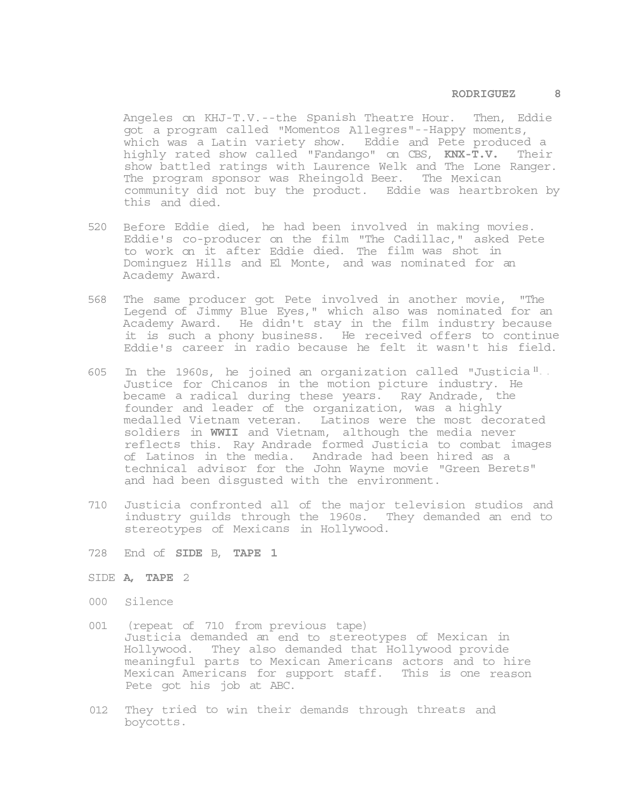### **RODRIGUEZ 8**

Angeles on KHJ-T.V.--the Spanish Theatre Hour. Then, Eddie got a program called "Momentos Allegres"--Happy moments, which was a Latin variety show. Eddie and Pete produced a highly rated show called "Fandango" on CBS, **KNX-T.V.** Their show battled ratings with Laurence Welk and The Lone Ranger. The program sponsor was Rheingold Beer. The Mexican community did not buy the product. Eddie was heartbroken by this and died.

- 520 Before Eddie died, he had been involved in making movies. Eddie's co-producer on the film "The Cadillac," asked Pete to work on it after Eddie died. The film was shot in Dominguez Hills and El Monte, and was nominated for an Academy Award.
- 568 The same producer got Pete involved in another movie, "The Legend of Jimmy Blue Eyes," which also was nominated for an Academy Award. He didn't stay in the film industry because it is such a phony business. He received offers to continue Eddie's career in radio because he felt it wasn't his field.
- 605 In the 1960s, he joined an organization called "Justicia **<sup>11</sup> - -** Justice for Chicanos in the motion picture industry. He became a radical during these years. Ray Andrade, the founder and leader of the organization, was a highly medalled Vietnam veteran. Latinos were the most decorated soldiers in **WWII** and Vietnam, although the media never reflects this. Ray Andrade formed Justicia to combat images of Latinos in the media. Andrade had been hired as a technical advisor for the John Wayne movie "Green Berets" and had been disgusted with the environment.
- 710 Justicia confronted all of the major television studios and industry guilds through the 1960s. They demanded an end to stereotypes of Mexicans in Hollywood.
- 728 End of **SIDE** B, **TAPE 1**

# SIDE **A, TAPE** 2

- 000 Silence
- 001 (repeat of 710 from previous tape) Justicia demanded an end to stereotypes of Mexican in Hollywood. They also demanded that Hollywood provide meaningful parts to Mexican Americans actors and to hire Mexican Americans for support staff. This is one reason Pete got his job at ABC.
- 012 They tried to win their demands through threats and boycotts.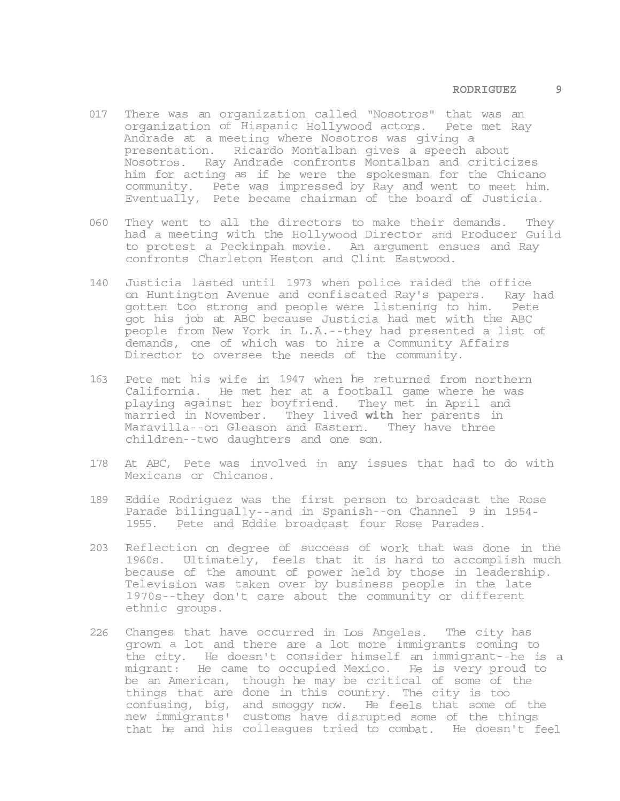- 017 There was an organization called "Nosotros" that was an organization of Hispanic Hollywood actors. Pete met Ray Andrade at a meeting where Nosotros was giving a presentation. Ricardo Montalban gives a speech about Nosotros. Ray Andrade confronts Montalban and criticizes him for acting as if he were the spokesman for the Chicano community. Pete was impressed by Ray and went to meet him. Eventually, Pete became chairman of the board of Justicia.
- 060 They went to all the directors to make their demands. They had a meeting with the Hollywood Director and Producer Guild to protest a Peckinpah movie. An argument ensues and Ray confronts Charleton Heston and Clint Eastwood.
- 140 Justicia lasted until 1973 when police raided the office on Huntington Avenue and confiscated Ray's papers. Ray had gotten too strong and people were listening to him. Pete got his job at ABC because Justicia had met with the ABC people from New York in L.A.--they had presented a list of demands, one of which was to hire a Community Affairs Director to oversee the needs of the community.
- 163 Pete met his wife in 1947 when he returned from northern California. He met her at a football game where he was playing against her boyfriend. They met in April and married in November. They lived **with** her parents in Maravilla--on Gleason and Eastern. They have three children--two daughters and one son.
- 178 At ABC, Pete was involved in any issues that had to do with Mexicans or Chicanos.
- 189 Eddie Rodriguez was the first person to broadcast the Rose Parade bilingually--and in Spanish--on Channel 9 in 1954- 1955. Pete and Eddie broadcast four Rose Parades.
- 203 Reflection on degree of success of work that was done in the 1960s. Ultimately, feels that it is hard to accomplish much because of the amount of power held by those in leadership. Television was taken over by business people in the late 1970s--they don't care about the community or different ethnic groups.
- 226 Changes that have occurred in Los Angeles. The city has grown a lot and there are a lot more immigrants coming to the city. He doesn't consider himself an immigrant--he is a migrant: He came to occupied Mexico. He is very proud to be an American, though he may be critical of some of the things that are done in this country. The city is too confusing, big, and smoggy now. He feels that some of the new immigrants' customs have disrupted some of the things that he and his colleagues tried to combat. He doesn't feel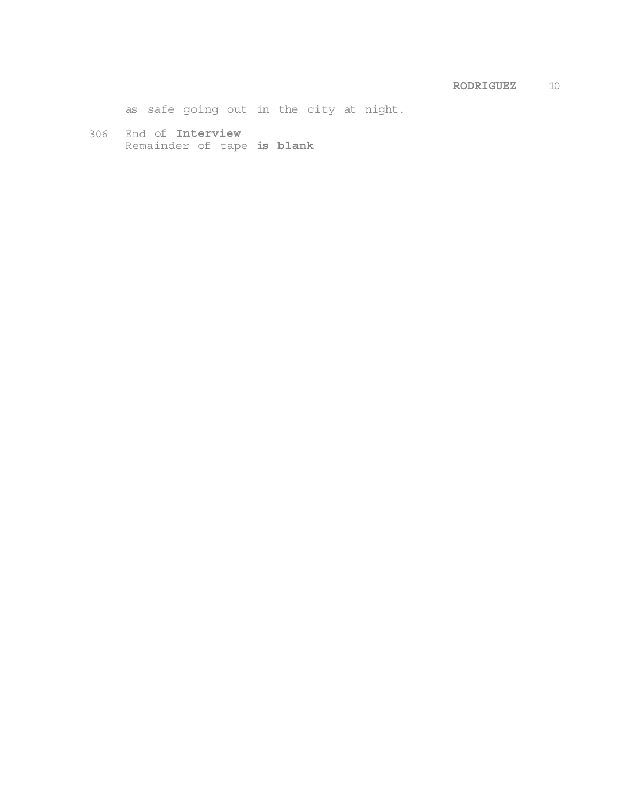as safe going out in the city at night.

306 End of **Interview**  Remainder of tape **is blank**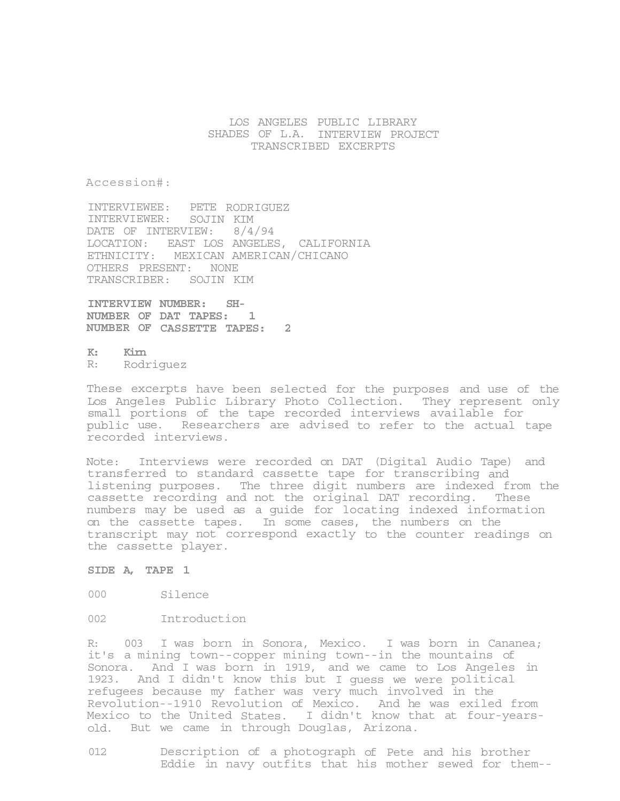# LOS ANGELES PUBLIC LIBRARY SHADES OF L.A. INTERVIEW PROJECT TRANSCRIBED EXCERPTS

Accession#:

INTERVIEWEE: PETE RODRIGUEZ INTERVIEWER: SOJIN KIM DATE OF INTERVIEW: 8/4/94 LOCATION: EAST LOS ANGELES, CALIFORNIA ETHNICITY: MEXICAN AMERICAN/CHICANO OTHERS PRESENT: NONE TRANSCRIBER: SOJIN KIM

**INTERVIEW NUMBER: SH-NUMBER OF DAT TAPES: 1 NUMBER OF CASSETTE TAPES: 2** 

**K: Kirn**  R: Rodriguez

These excerpts have been selected for the purposes and use of the Los Angeles Public Library Photo Collection. They represent only small portions of the tape recorded interviews available for public use. Researchers are advised to refer to the actual tape recorded interviews.

Note: Interviews were recorded on DAT (Digital Audio Tape) and transferred to standard cassette tape for transcribing and listening purposes. The three digit numbers are indexed from the cassette recording and not the original DAT recording. These numbers may be used as a guide for locating indexed information on the cassette tapes. In some cases, the numbers on the transcript may not correspond exactly to the counter readings on the cassette player.

### **SIDE A, TAPE 1**

000 Silence

002 Introduction

R: 003 I was born in Sonora, Mexico. I was born in Cananea; it's a mining town--copper mining town--in the mountains of Sonora. And I was born in 1919, and we came to Los Angeles in 1923. And I didn't know this but I guess we were political refugees because my father was very much involved in the Revolution--1910 Revolution of Mexico. And he was exiled from Mexico to the United States. I didn't know that at four-yearsold. But we came in through Douglas, Arizona.

012 Description of a photograph of Pete and his brother Eddie in navy outfits that his mother sewed for them--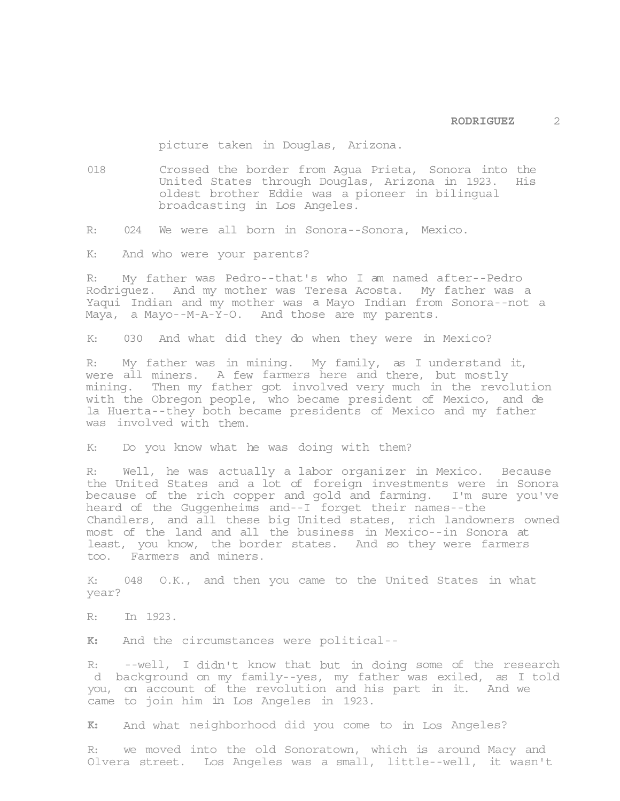picture taken in Douglas, Arizona.

018 Crossed the border from Agua Prieta, Sonora into the United States through Douglas, Arizona in 1923. His oldest brother Eddie was a pioneer in bilingual broadcasting in Los Angeles.

R: 024 We were all born in Sonora--Sonora, Mexico.

K: And who were your parents?

R: My father was Pedro--that's who I am named after--Pedro Rodriguez. And my mother was Teresa Acosta. My father was a Yaqui Indian and my mother was a Mayo Indian from Sonora--not a Maya, a Mayo--M-A-Y-O. And those are my parents.

K: 030 And what did they do when they were in Mexico?

R: My father was in mining. My family, as I understand it, were all miners. A few farmers here and there, but mostly mining. Then my father got involved very much in the revolution with the Obregon people, who became president of Mexico, and de la Huerta--they both became presidents of Mexico and my father was involved with them.

K: Do you know what he was doing with them?

R: Well, he was actually a labor organizer in Mexico. Because the United States and a lot of foreign investments were in Sonora because of the rich copper and gold and farming. I'm sure you've heard of the Guggenheims and--I forget their names--the Chandlers, and all these big United states, rich landowners owned most of the land and all the business in Mexico--in Sonora at least, you know, the border states. And so they were farmers too. Farmers and miners.

K: 048 O.K., and then you came to the United States in what year?

R: In 1923.

**K:** And the circumstances were political--

R: --well, I didn't know that but in doing some of the research d background on my family--yes, my father was exiled, as I told you, on account of the revolution and his part in it. And we came to join him in Los Angeles in 1923.

**K:** And what neighborhood did you come to in Los Angeles?

R: we moved into the old Sonoratown, which is around Macy and Olvera street. Los Angeles was a small, little--well, it wasn't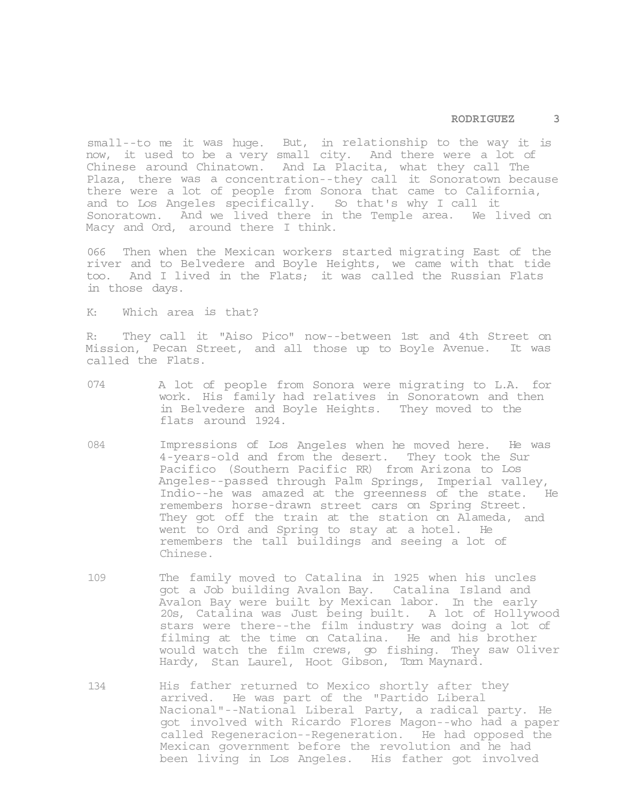#### **RODRIGUEZ 3**

small--to me it was huge. But, in relationship to the way it is now, it used to be a very small city. And there were a lot of Chinese around Chinatown. And La Placita, what they call The Plaza, there was a concentration--they call it Sonoratown because there were a lot of people from Sonora that came to California, and to Los Angeles specifically. So that's why I call it Sonoratown. And we lived there in the Temple area. We lived on Macy and Ord, around there I think.

066 Then when the Mexican workers started migrating East of the river and to Belvedere and Boyle Heights, we came with that tide too. And I lived in the Flats; it was called the Russian Flats in those days.

K: Which area is that?

R: They call it "Aiso Pico" now--between 1st and 4th Street on Mission, Pecan Street, and all those up to Boyle Avenue. It was called the Flats.

- 074 A lot of people from Sonora were migrating to L.A. for work. His family had relatives in Sonoratown and then in Belvedere and Boyle Heights. They moved to the flats around 1924.
- 084 Impressions of Los Angeles when he moved here. He was 4-years-old and from the desert. They took the Sur Pacifico (Southern Pacific RR) from Arizona to Los Angeles--passed through Palm Springs, Imperial valley, Indio--he was amazed at the greenness of the state. He remembers horse-drawn street cars on Spring Street. They got off the train at the station on Alameda, and went to Ord and Spring to stay at a hotel. He remembers the tall buildings and seeing a lot of Chinese.
- 109 The family moved to Catalina in 1925 when his uncles got a Job building Avalon Bay. Catalina Island and Avalon Bay were built by Mexican labor. In the early 20s, Catalina was Just being built. A lot of Hollywood stars were there--the film industry was doing a lot of filming at the time on Catalina. He and his brother would watch the film crews, go fishing. They saw Oliver Hardy, Stan Laurel, Hoot Gibson, Tom Maynard.
- 134 His father returned to Mexico shortly after they arrived. He was part of the "Partido Liberal Nacional"--National Liberal Party, a radical party. He got involved with Ricardo Flores Magon--who had a paper called Regeneracion--Regeneration. He had opposed the Mexican government before the revolution and he had been living in Los Angeles. His father got involved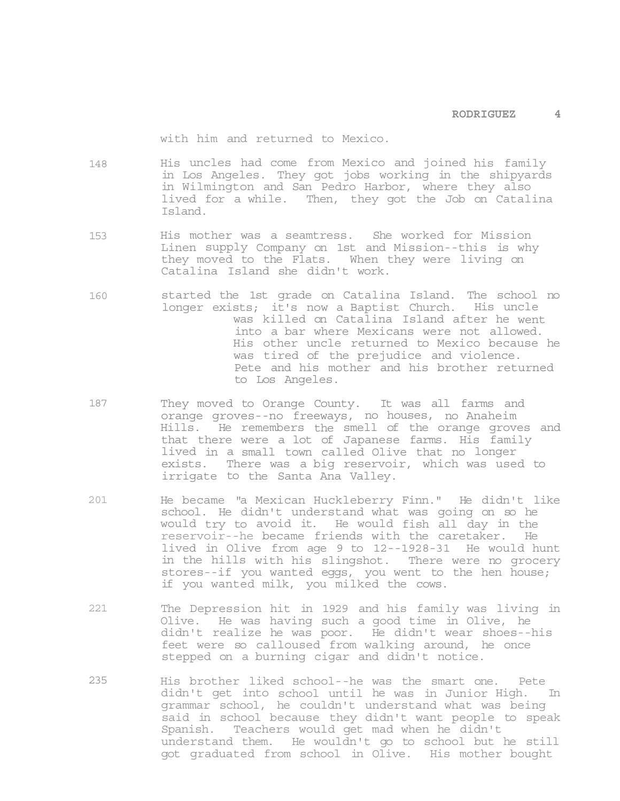with him and returned to Mexico.

- 148 His uncles had come from Mexico and joined his family in Los Angeles. They got jobs working in the shipyards in Wilmington and San Pedro Harbor, where they also lived for a while. Then, they got the Job on Catalina Island.
- 153 His mother was a seamtress. She worked for Mission Linen supply Company on 1st and Mission--this is why they moved to the Flats. When they were living on Catalina Island she didn't work.
- 160 started the 1st grade on Catalina Island. The school no longer exists; it's now a Baptist Church. His uncle was killed on Catalina Island after he went into a bar where Mexicans were not allowed. His other uncle returned to Mexico because he was tired of the prejudice and violence. Pete and his mother and his brother returned to Los Angeles.
- 187 They moved to Orange County. It was all farms and orange groves--no freeways, no houses, no Anaheim Hills. He remembers the smell of the orange groves and that there were a lot of Japanese farms. His family lived in a small town called Olive that no longer exists. There was a big reservoir, which was used to irrigate to the Santa Ana Valley.
- 201 He became "a Mexican Huckleberry Finn." He didn't like school. He didn't understand what was going on so he would try to avoid it. He would fish all day in the reservoir--he became friends with the caretaker. He lived in Olive from age 9 to 12--1928-31 He would hunt in the hills with his slingshot. There were no grocery stores--if you wanted eggs, you went to the hen house; if you wanted milk, you milked the cows.
- 221 The Depression hit in 1929 and his family was living in Olive. He was having such a good time in Olive, he didn't realize he was poor. He didn't wear shoes--his feet were so calloused from walking around, he once stepped on a burning cigar and didn't notice.
- 235 His brother liked school--he was the smart one. Pete didn't get into school until he was in Junior High. In grammar school, he couldn't understand what was being said in school because they didn't want people to speak Spanish. Teachers would get mad when he didn't understand them. He wouldn't go to school but he still got graduated from school in Olive. His mother bought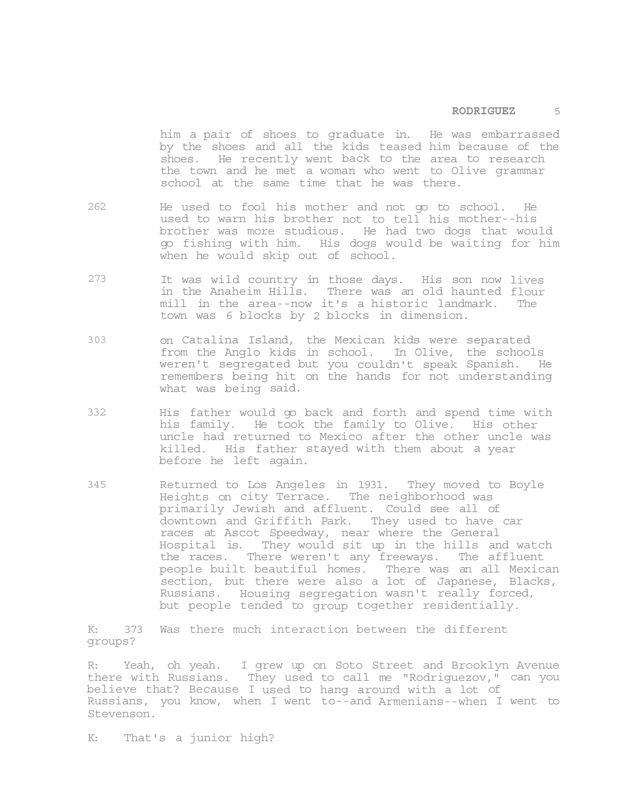# **RODRIGUEZ** 5

him a pair of shoes to graduate in. He was embarrassed by the shoes and all the kids teased him because of the shoes. He recently went back to the area to research the town and he met a woman who went to Olive grammar school at the same time that he was there.

- 262 He used to fool his mother and not go to school. He used to warn his brother not to tell his mother--his brother was more studious. He had two dogs that would go fishing with him. His dogs would be waiting for him when he would skip out of school.
- 273 It was wild country in those days. His son now lives in the Anaheim Hills. There was an old haunted flour mill in the area--now it's a historic landmark. The town was 6 blocks by 2 blocks in dimension.
- 303 on Catalina Island, the Mexican kids were separated from the Anglo kids in school. In Olive, the schools weren't segregated but you couldn't speak Spanish. He remembers being hit on the hands for not understanding what was being said.
- 332 His father would go back and forth and spend time with his family. He took the family to Olive. His other uncle had returned to Mexico after the other uncle was killed. His father stayed with them about a year before he left again.
- 345 Returned to Los Angeles in 1931. They moved to Boyle Heights on city Terrace. The neighborhood was primarily Jewish and affluent. Could see all of downtown and Griffith Park. They used to have car races at Ascot Speedway, near where the General Hospital is. They would sit up in the hills and watch the races. There weren't any freeways. The affluent people built beautiful homes. There was an all Mexican section, but there were also a lot of Japanese, Blacks, Russians. Housing segregation wasn't really forced, but people tended to group together residentially.

K: 373 Was there much interaction between the different groups?

R: Yeah, oh yeah. I grew up on Soto Street and Brooklyn Avenue there with Russians. They used to call me "Rodriguezov," can you believe that? Because I used to hang around with a lot of Russians, you know, when I went to--and Armenians--when I went to Stevenson.

K: That's a junior high?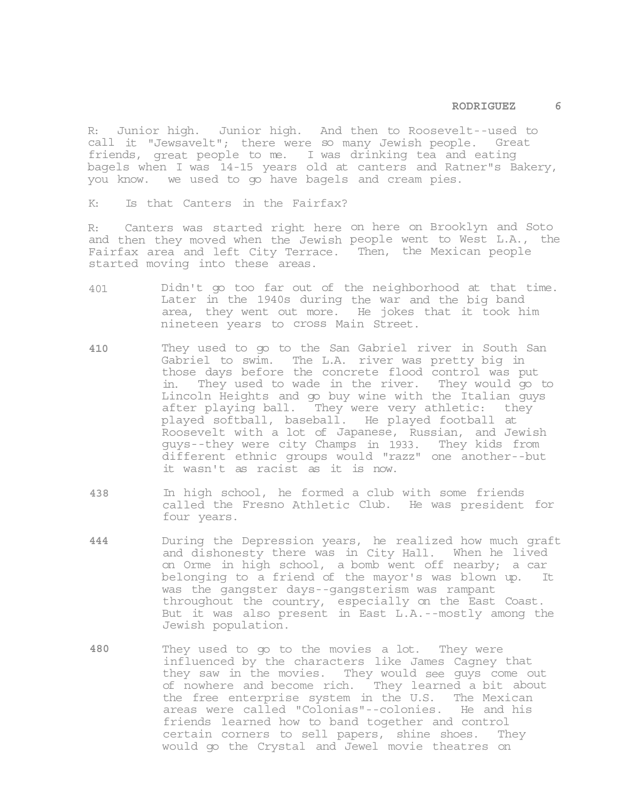#### **RODRIGUEZ 6**

R: Junior high. Junior high. And then to Roosevelt--used to call it "Jewsavelt"; there were so many Jewish people. Great friends, great people to me. I was drinking tea and eating bagels when I was 14-15 years old at canters and Ratner"s Bakery, you know. we used to go have bagels and cream pies.

K: Is that Canters in the Fairfax?

R: Canters was started right here on here on Brooklyn and Soto and then they moved when the Jewish people went to West L.A., the Fairfax area and left City Terrace. Then, the Mexican people started moving into these areas.

- 401 Didn't go too far out of the neighborhood at that time. Later in the 1940s during the war and the big band area, they went out more. He jokes that it took him nineteen years to cross Main Street.
- **410** They used to go to the San Gabriel river in South San Gabriel to swim. The L.A. river was pretty big in those days before the concrete flood control was put in. They used to wade in the river. They would go to Lincoln Heights and go buy wine with the Italian guys after playing ball. They were very athletic: they played softball, baseball. He played football at Roosevelt with a lot of Japanese, Russian, and Jewish guys--they were city Champs in 1933. They kids from different ethnic groups would "razz" one another--but it wasn't as racist as it is now.
- **438** In high school, he formed a club with some friends called the Fresno Athletic Club. He was president for four years.
- **444** During the Depression years, he realized how much graft and dishonesty there was in City Hall. When he lived on Orme in high school, a bomb went off nearby; a car belonging to a friend of the mayor's was blown up. It was the gangster days--gangsterism was rampant throughout the country, especially on the East Coast. But it was also present in East L.A.--mostly among the Jewish population.
- **480** They used to go to the movies a lot. They were influenced by the characters like James Cagney that they saw in the movies. They would see guys come out of nowhere and become rich. They learned a bit about the free enterprise system in the U.S. The Mexican areas were called "Colonias"--colonies. He and his friends learned how to band together and control certain corners to sell papers, shine shoes. They would go the Crystal and Jewel movie theatres on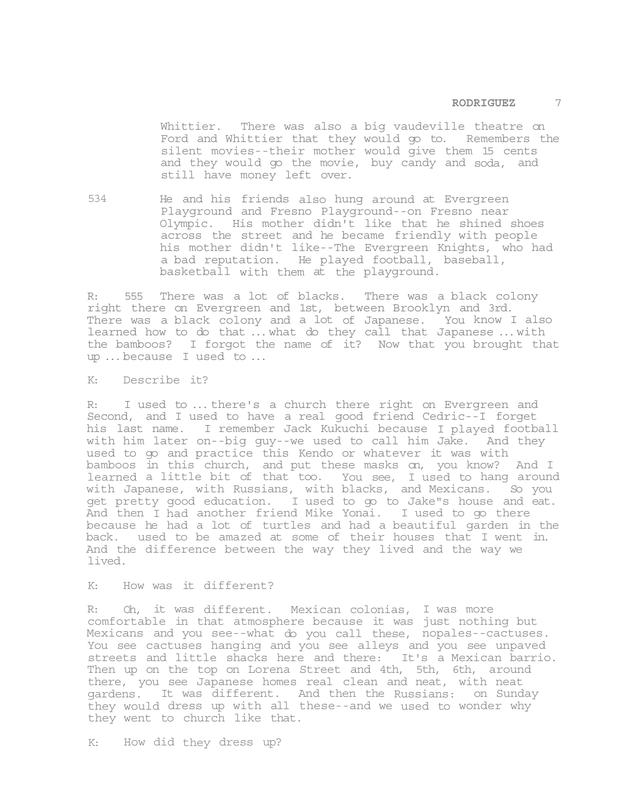Whittier. There was also a big vaudeville theatre on Ford and Whittier that they would go to. Remembers the silent movies--their mother would give them 15 cents and they would go the movie, buy candy and soda, and still have money left over.

534 He and his friends also hung around at Evergreen Playground and Fresno Playground--on Fresno near Olympic. His mother didn't like that he shined shoes across the street and he became friendly with people his mother didn't like--The Evergreen Knights, who had a bad reputation. He played football, baseball, basketball with them at the playground.

R: 555 There was a lot of blacks. There was a black colony right there on Evergreen and 1st, between Brooklyn and 3rd. There was a black colony and a lot of Japanese. You know I also learned how to do that ... what do they call that Japanese ... with the bamboos? I forgot the name of it? Now that you brought that up ... because I used to ...

K: Describe it?

R: I used to ... there's a church there right on Evergreen and Second, and I used to have a real good friend Cedric--I forget his last name. I remember Jack Kukuchi because I played football with him later on--big guy--we used to call him Jake. And they used to go and practice this Kendo or whatever it was with bamboos in this church, and put these masks on, you know? And I learned a little bit of that too. You see, I used to hang around with Japanese, with Russians, with blacks, and Mexicans. So you get pretty good education. I used to go to Jake"s house and eat. And then I had another friend Mike Yonai. I used to go there because he had a lot of turtles and had a beautiful garden in the back. used to be amazed at some of their houses that I went in. And the difference between the way they lived and the way we lived.

K: How was it different?

R: Oh, it was different. Mexican colonias, I was more comfortable in that atmosphere because it was just nothing but Mexicans and you see--what do you call these, nopales--cactuses. You see cactuses hanging and you see alleys and you see unpaved streets and little shacks here and there: It's a Mexican barrio. Then up on the top on Lorena Street and 4th, 5th, 6th, around there, you see Japanese homes real clean and neat, with neat gardens. It was different. And then the Russians: on Sunday they would dress up with all these--and we used to wonder why they went to church like that.

K: How did they dress up?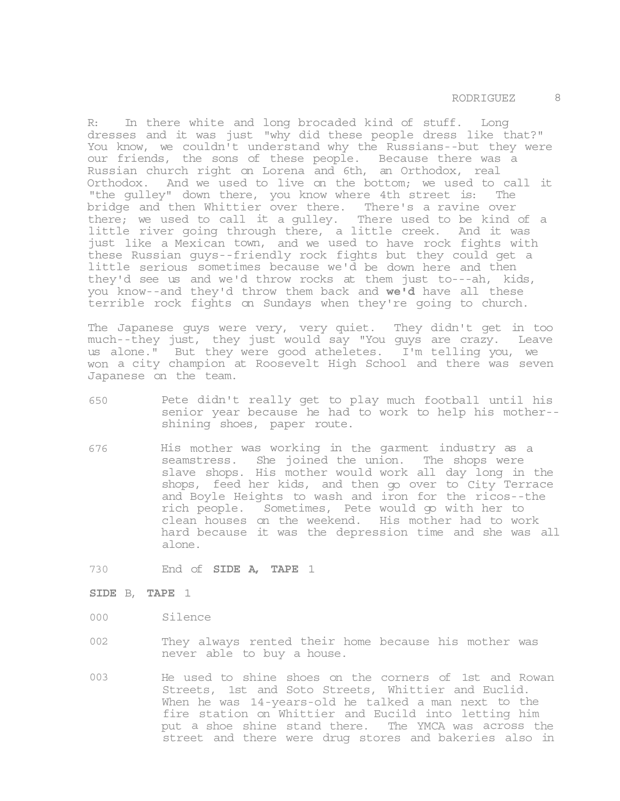R: In there white and long brocaded kind of stuff. Long dresses and it was just "why did these people dress like that?" You know, we couldn't understand why the Russians--but they were our friends, the sons of these people. Because there was a Russian church right on Lorena and 6th, an Orthodox, real Orthodox. And we used to live on the bottom; we used to call it "the gulley" down there, you know where 4th street is: The bridge and then Whittier over there. There's a ravine over there; we used to call it a gulley. There used to be kind of a little river going through there, a little creek. And it was just like a Mexican town, and we used to have rock fights with these Russian guys--friendly rock fights but they could get a little serious sometimes because we'd be down here and then they'd see us and we'd throw rocks at them just to---ah, kids, you know--and they'd throw them back and **we'd** have all these terrible rock fights on Sundays when they're going to church.

The Japanese guys were very, very quiet. They didn't get in too much--they just, they just would say "You guys are crazy. Leave us alone." But they were good atheletes. I'm telling you, we won a city champion at Roosevelt High School and there was seven Japanese on the team.

- 650 Pete didn't really get to play much football until his senior year because he had to work to help his mother- shining shoes, paper route.
- 676 His mother was working in the garment industry as a seamstress. She joined the union. The shops were slave shops. His mother would work all day long in the shops, feed her kids, and then go over to City Terrace and Boyle Heights to wash and iron for the ricos--the rich people. Sometimes, Pete would go with her to clean houses on the weekend. His mother had to work hard because it was the depression time and she was all alone.
- 730 End of **SIDE A, TAPE** 1
- **SIDE** B, **TAPE** 1
- 000 Silence
- 002 They always rented their home because his mother was never able to buy a house.
- 003 He used to shine shoes on the corners of 1st and Rowan Streets, 1st and Soto Streets, Whittier and Euclid. When he was 14-years-old he talked a man next to the fire station on Whittier and Eucild into letting him put a shoe shine stand there. The YMCA was across the street and there were drug stores and bakeries also in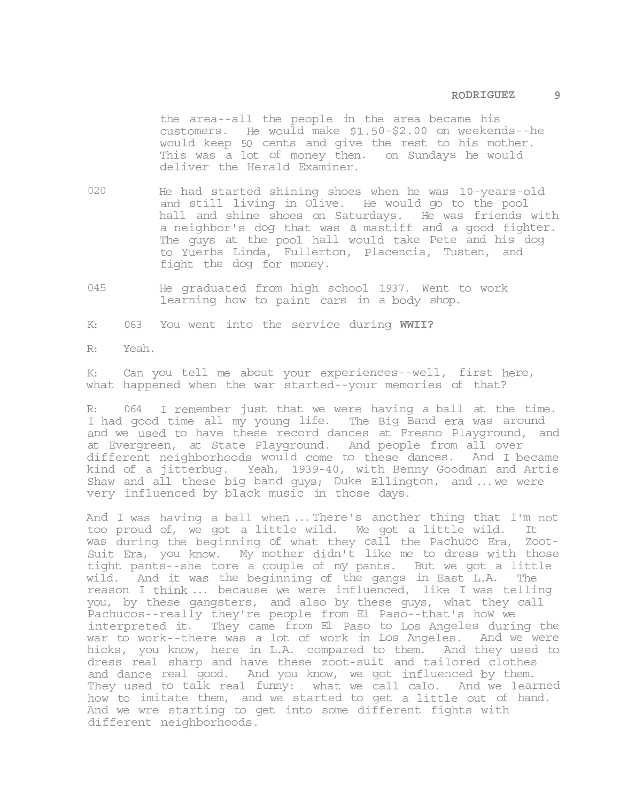the area--all the people in the area became his customers. He would make \$1.50-\$2.00 on weekends--he would keep 50 cents and give the rest to his mother. This was a lot of money then. on Sundays he would deliver the Herald Examiner.

- 020 He had started shining shoes when he was 10-years-old and still living in Olive. He would go to the pool hall and shine shoes on Saturdays. He was friends with a neighbor's dog that was a mastiff and a good fighter. The guys at the pool hall would take Pete and his dog to Yuerba Linda, Fullerton, Placencia, Tusten, and fight the dog for money.
- 045 He graduated from high school 1937. Went to work learning how to paint cars in a body shop.

K: 063 You went into the service during **WWII?** 

R: Yeah.

K: Can you tell me about your experiences--well, first here, what happened when the war started--your memories of that?

R: 064 I remember just that we were having a ball at the time. I had good time all my young life. The Big Band era was around and we used to have these record dances at Fresno Playground, and at Evergreen, at State Playground. And people from all over different neighborhoods would come to these dances. And I became kind of a jitterbug. Yeah, 1939-40, with Benny Goodman and Artie Shaw and all these big band guys; Duke Ellington, and ... we were very influenced by black music in those days.

And I was having a ball when ... There's another thing that I'm not too proud of, we got a little wild. We got a little wild. It was during the beginning of what they call the Pachuco Era, Zoot-Suit Era, you know. My mother didn't like me to dress with those tight pants--she tore a couple of my pants. But we got a little wild. And it was the beginning of the gangs in East L.A. The reason I think ... because we were influenced, like I was telling you, by these gangsters, and also by these guys, what they call Pachucos--really they're people from El Paso--that's how we interpreted it. They came from El Paso to Los Angeles during the war to work--there was a lot of work in Los Angeles. And we were hicks, you know, here in L.A. compared to them. And they used to dress real sharp and have these zoot-suit and tailored clothes and dance real good. And you know, we got influenced by them. They used to talk real funny: what we call calo. And we learned how to imitate them, and we started to get a little out of hand. And we wre starting to get into some different fights with different neighborhoods.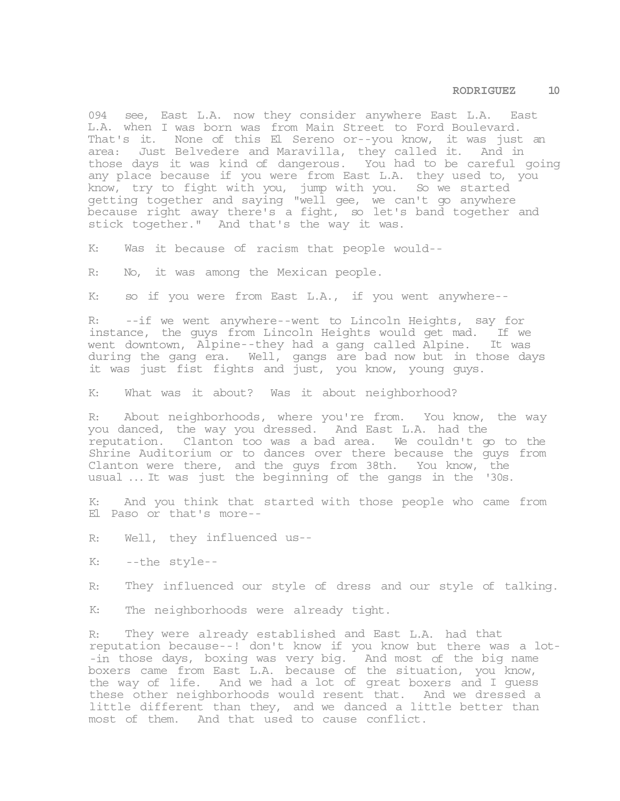094 see, East L.A. now they consider anywhere East L.A. East L.A. when I was born was from Main Street to Ford Boulevard. That's it. None of this El Sereno or--you know, it was just an area: Just Belvedere and Maravilla, they called it. And in those days it was kind of dangerous. You had to be careful going any place because if you were from East L.A. they used to, you know, try to fight with you, jump with you. So we started getting together and saying "well gee, we can't go anywhere because right away there's a fight, so let's band together and stick together." And that's the way it was.

K: Was it because of racism that people would--

R: No, it was among the Mexican people.

K: so if you were from East L.A., if you went anywhere--

R: --if we went anywhere--went to Lincoln Heights, say for instance, the guys from Lincoln Heights would get mad. If we went downtown, Alpine--they had a gang called Alpine. It was during the gang era. Well, gangs are bad now but in those days it was just fist fights and just, you know, young guys.

K: What was it about? Was it about neighborhood?

R: About neighborhoods, where you're from. You know, the way you danced, the way you dressed. And East L.A. had the reputation. Clanton too was a bad area. We couldn't go to the Shrine Auditorium or to dances over there because the guys from Clanton were there, and the guys from 38th. You know, the usual ... It was just the beginning of the gangs in the '30s.

K: And you think that started with those people who came from El Paso or that's more--

R: Well, they influenced us--

K: --the style--

R: They influenced our style of dress and our style of talking.

K: The neighborhoods were already tight.

R: They were already established and East L.A. had that reputation because--! don't know if you know but there was a lot- -in those days, boxing was very big. And most of the big name boxers came from East L.A. because of the situation, you know, the way of life. And we had a lot of great boxers and I guess these other neighborhoods would resent that. And we dressed a little different than they, and we danced a little better than most of them. And that used to cause conflict.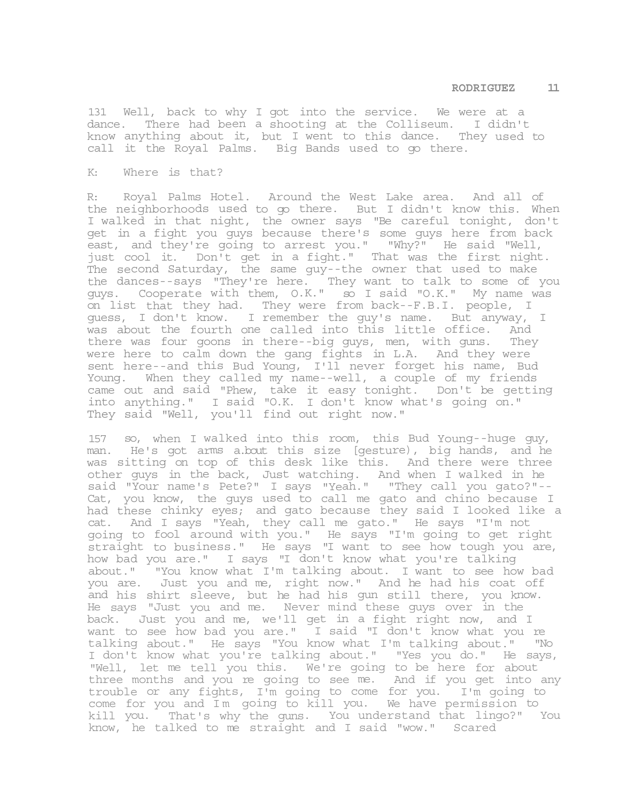131 Well, back to why I got into the service. We were at a dance. There had been a shooting at the Colliseum. I didn't know anything about it, but I went to this dance. They used to call it the Royal Palms. Big Bands used to go there.

#### K: Where is that?

R: Royal Palms Hotel. Around the West Lake area. And all of the neighborhoods used to go there. But I didn't know this. When I walked in that night, the owner says "Be careful tonight, don't get in a fight you guys because there's some guys here from back east, and they're going to arrest you." "Why?" He said "Well, just cool it. Don't get in a fight." That was the first night. The second Saturday, the same guy--the owner that used to make the dances--says "They're here. They want to talk to some of you guys. Cooperate with them, O.K." so I said "O.K." My name was on list that they had. They were from back--F.B.I. people, I guess, I don't know. I remember the guy's name. But anyway, I was about the fourth one called into this little office. And there was four goons in there--big guys, men, with guns. They were here to calm down the gang fights in L.A. And they were sent here--and this Bud Young, I'll never forget his name, Bud Young. When they called my name--well, a couple of my friends came out and said "Phew, take it easy tonight. Don't be getting into anything." I said "O.K. I don't know what's going on." They said "Well, you'll find out right now."

157 so, when I walked into this room, this Bud Young--huge guy, man. He's got arms a.bout this size [gesture), big hands, and he was sitting on top of this desk like this. And there were three other guys in the back, Just watching. And when I walked in he said "Your name's Pete?" I says "Yeah." "They call you gato?"-- Cat, you know, the guys used to call me gato and chino because I had these chinky eyes; and gato because they said I looked like a cat. And I says "Yeah, they call me gato." He says "I'm not going to fool around with you." He says "I'm going to get right straight to business." He says "I want to see how tough you are, how bad you are." I says "I don't know what you're talking about." "You know what I'm talking about. I want to see how bad you are. Just you and me, right now." And he had his coat off and his shirt sleeve, but he had his gun still there, you know. He says "Just you and me. Never mind these guys over in the back. Just you and me, we'll get in a fight right now, and I want to see how bad you are." I said "I don't know what you re talking about." He says "You know what I'm talking about." "No I don't know what you're talking about." "Yes you do." He says, "Well, let me tell you this. We're going to be here for about three months and you re going to see me. And if you get into any trouble or any fights, I'm going to come for you. I'm going to come for you and Im going to kill you. We have permission to kill you. That's why the guns. You understand that lingo?" You know, he talked to me straight and I said "wow." Scared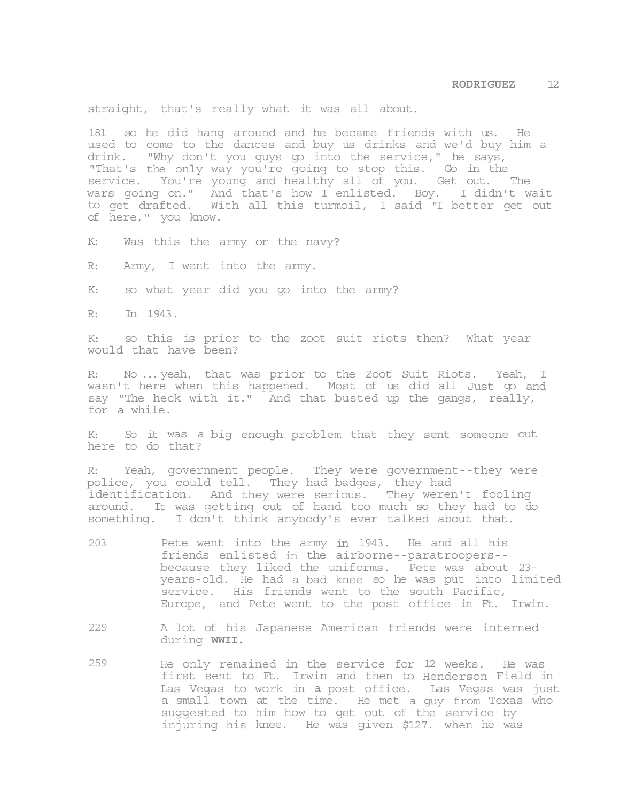straight, that's really what it was all about.

181 so he did hang around and he became friends with us. He used to come to the dances and buy us drinks and we'd buy him a drink. "Why don't you guys go into the service," he says, "That's the only way you're going to stop this. Go in the service. You're young and healthy all of you. Get out. The wars going on." And that's how I enlisted. Boy. I didn't wait to get drafted. With all this turmoil, I said "I better get out of here," you know.

K: Was this the army or the navy?

R: Army, I went into the army.

K: so what year did you go into the army?

R: In 1943.

K: so this is prior to the zoot suit riots then? What year would that have been?

R: No ... yeah, that was prior to the Zoot Suit Riots. Yeah, I wasn't here when this happened. Most of us did all Just go and say "The heck with it." And that busted up the gangs, really, for a while.

K: So it was a big enough problem that they sent someone out here to do that?

R: Yeah, government people. They were government--they were police, you could tell. They had badges, they had identification. And they were serious. They weren't fooling around. It was getting out of hand too much so they had to do something. I don't think anybody's ever talked about that.

- 203 Pete went into the army in 1943. He and all his friends enlisted in the airborne--paratroopers- because they liked the uniforms. Pete was about 23 years-old. He had a bad knee so he was put into limited service. His friends went to the south Pacific, Europe, and Pete went to the post office in Ft. Irwin.
- 229 A lot of his Japanese American friends were interned during **WWII.**
- 259 He only remained in the service for 12 weeks. He was first sent to Ft. Irwin and then to Henderson Field in Las Vegas to work in a post office. Las Vegas was just a small town at the time. He met a guy from Texas who suggested to him how to get out of the service by injuring his knee. He was given \$127. when he was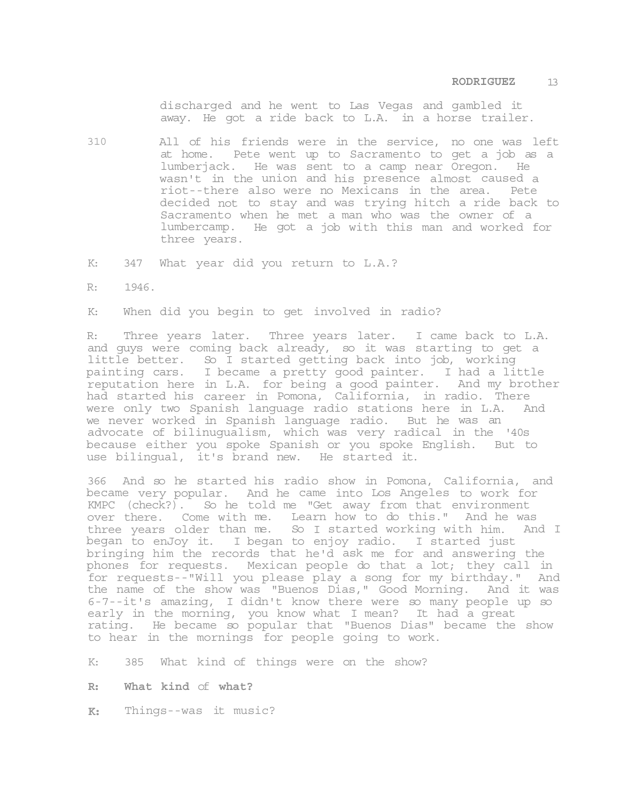discharged and he went to Las Vegas and gambled it away. He got a ride back to L.A. in a horse trailer.

- 310 All of his friends were in the service, no one was left at home. Pete went up to Sacramento to get a job as a lumberjack. He was sent to a camp near Oregon. He wasn't in the union and his presence almost caused a riot--there also were no Mexicans in the area. Pete decided not to stay and was trying hitch a ride back to Sacramento when he met a man who was the owner of a lumbercamp. He got a job with this man and worked for three years.
- K: 347 What year did you return to L.A.?
- R: 1946.

K: When did you begin to get involved in radio?

R: Three years later. Three years later. I came back to L.A. and guys were coming back already, so it was starting to get a little better. So I started getting back into job, working painting cars. I became a pretty good painter. I had a little reputation here in L.A. for being a good painter. And my brother had started his career in Pomona, California, in radio. There were only two Spanish language radio stations here in L.A. And we never worked in Spanish language radio. But he was an advocate of bilinugualism, which was very radical in the '40s because either you spoke Spanish or you spoke English. But to use bilingual, it's brand new. He started it.

366 And so he started his radio show in Pomona, California, and became very popular. And he came into Los Angeles to work for KMPC (check?). So he told me "Get away from that environment over there. Come with me. Learn how to do this." And he was three years older than me. So I started working with him. And I began to enJoy it. I began to enjoy radio. I started just bringing him the records that he'd ask me for and answering the phones for requests. Mexican people do that a lot; they call in for requests--"Will you please play a song for my birthday." And the name of the show was "Buenos Dias," Good Morning. And it was 6-7--it's amazing, I didn't know there were so many people up so early in the morning, you know what I mean? It had a great rating. He became so popular that "Buenos Dias" became the show to hear in the mornings for people going to work.

- K: 385 What kind of things were on the show?
- **R: What kind** of **what?**
- **K:** Things--was it music?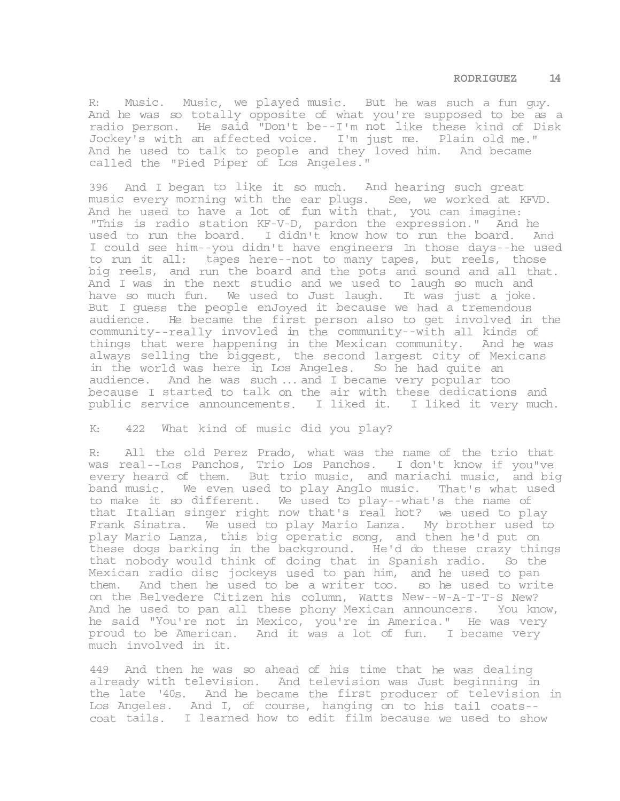R: Music. Music, we played music. But he was such a fun guy. And he was so totally opposite of what you're supposed to be as a radio person. He said "Don't be--I'm not like these kind of Disk Jockey's with an affected voice. I'm just me. Plain old me." And he used to talk to people and they loved him. And became called the "Pied Piper of Los Angeles."

396 And I began to like it so much. And hearing such great music every morning with the ear plugs. See, we worked at KFVD. And he used to have a lot of fun with that, you can imagine: "This is radio station KF-V-D, pardon the expression." And he used to run the board. I didn't know how to run the board. And I could see him--you didn't have engineers 1n those days--he used to run it all: tapes here--not to many tapes, but reels, those big reels, and run the board and the pots and sound and all that. And I was in the next studio and we used to laugh so much and have so much fun. We used to Just laugh. It was just a joke. But I guess the people enJoyed it because we had a tremendous audience. He became the first person also to get involved in the community--really invovled in the community--with all kinds of things that were happening in the Mexican community. And he was always selling the biggest, the second largest city of Mexicans in the world was here in Los Angeles. So he had quite an audience. And he was such ... and I became very popular too because I started to talk on the air with these dedications and public service announcements. I liked it. I liked it very much.

## K: 422 What kind of music did you play?

R: All the old Perez Prado, what was the name of the trio that was real--Los Panchos, Trio Los Panchos. I don't know if you"ve every heard of them. But trio music, and mariachi music, and big band music. We even used to play Anglo music. That's what used to make it so different. We used to play--what's the name of that Italian singer right now that's real hot? we used to play Frank Sinatra. We used to play Mario Lanza. My brother used to play Mario Lanza, this big operatic song, and then he'd put on these dogs barking in the background. He'd do these crazy things that nobody would think of doing that in Spanish radio. So the Mexican radio disc jockeys used to pan him, and he used to pan them. And then he used to be a writer too. so he used to write on the Belvedere Citizen his column, Watts New--W-A-T-T-S New? And he used to pan all these phony Mexican announcers. You know, he said "You're not in Mexico, you're in America." He was very proud to be American. And it was a lot of fun. I became very much involved in it.

449 And then he was so ahead of his time that he was dealing already with television. And television was Just beginning in the late '40s. And he became the first producer of television in Los Angeles. And I, of course, hanging on to his tail coats- coat tails. I learned how to edit film because we used to show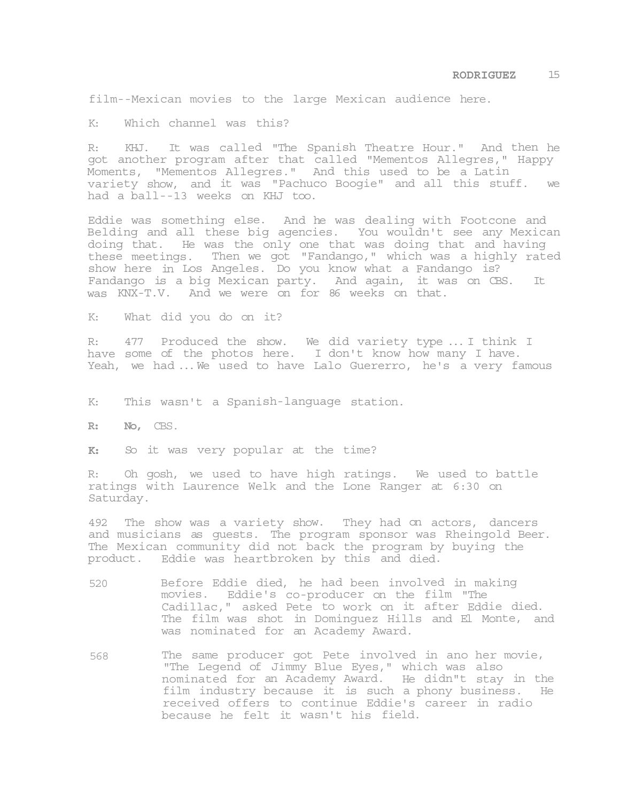film--Mexican movies to the large Mexican audience here.

K: Which channel was this?

R: KHJ. It was called "The Spanish Theatre Hour." And then he got another program after that called "Mementos Allegres," Happy Moments, "Mementos Allegres." And this used to be a Latin variety show, and it was "Pachuco Boogie" and all this stuff. we had a ball--13 weeks on KHJ too.

Eddie was something else. And he was dealing with Footcone and Belding and all these big agencies. You wouldn't see any Mexican doing that. He was the only one that was doing that and having these meetings. Then we got "Fandango," which was a highly rated show here in Los Angeles. Do you know what a Fandango is? Fandango is a big Mexican party. And again, it was on CBS. It was KNX-T.V. And we were on for 86 weeks on that.

K: What did you do on it?

R: 477 Produced the show. We did variety type ... I think I have some of the photos here. I don't know how many I have. Yeah, we had ... We used to have Lalo Guererro, he's a very famous

K: This wasn't a Spanish-language station.

**R: No,** CBS.

**K:** So it was very popular at the time?

R: Oh gosh, we used to have high ratings. We used to battle ratings with Laurence Welk and the Lone Ranger at 6:30 on Saturday.

492 The show was a variety show. They had on actors, dancers and musicians as guests. The program sponsor was Rheingold Beer. The Mexican community did not back the program by buying the product. Eddie was heartbroken by this and died.

- 520 Before Eddie died, he had been involved in making movies. Eddie's co-producer on the film "The Cadillac," asked Pete to work on it after Eddie died. The film was shot in Dominguez Hills and El Monte, and was nominated for an Academy Award.
- 568 The same producer got Pete involved in ano her movie, "The Legend of Jimmy Blue Eyes," which was also nominated for an Academy Award. He didn"t stay in the film industry because it is such a phony business. He received offers to continue Eddie's career in radio because he felt it wasn't his field.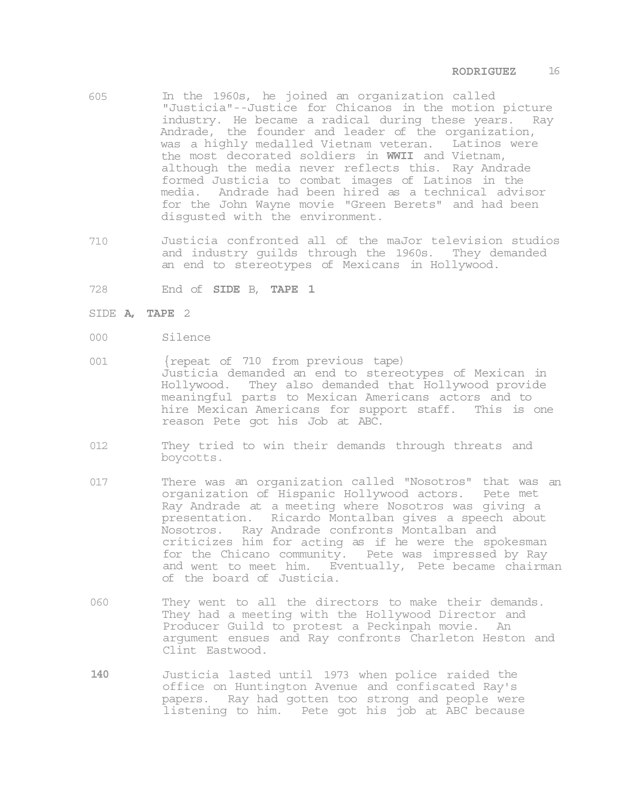- 605 In the 1960s, he joined an organization called "Justicia"--Justice for Chicanos in the motion picture industry. He became a radical during these years. Ray Andrade, the founder and leader of the organization, was a highly medalled Vietnam veteran. Latinos were the most decorated soldiers in **WWII** and Vietnam, although the media never reflects this. Ray Andrade formed Justicia to combat images of Latinos in the media. Andrade had been hired as a technical advisor for the John Wayne movie "Green Berets" and had been disgusted with the environment.
- 710 Justicia confronted all of the maJor television studios and industry guilds through the 1960s. They demanded an end to stereotypes of Mexicans in Hollywood.
- 728 End of **SIDE** B, **TAPE 1**
- SIDE **A, TAPE** 2
- 000 Silence
- 001 {repeat of 710 from previous tape) Justicia demanded an end to stereotypes of Mexican in Hollywood. They also demanded that Hollywood provide meaningful parts to Mexican Americans actors and to hire Mexican Americans for support staff. This is one reason Pete got his Job at ABC.
- 012 They tried to win their demands through threats and boycotts.
- 017 There was an organization called "Nosotros" that was an organization of Hispanic Hollywood actors. Pete met Ray Andrade at a meeting where Nosotros was giving a presentation. Ricardo Montalban gives a speech about Nosotros. Ray Andrade confronts Montalban and criticizes him for acting as if he were the spokesman for the Chicano community. Pete was impressed by Ray and went to meet him. Eventually, Pete became chairman of the board of Justicia.
- 060 They went to all the directors to make their demands. They had a meeting with the Hollywood Director and Producer Guild to protest a Peckinpah movie. An argument ensues and Ray confronts Charleton Heston and Clint Eastwood.
- **140** Justicia lasted until 1973 when police raided the office on Huntington Avenue and confiscated Ray's papers. Ray had gotten too strong and people were listening to him. Pete got his job at ABC because